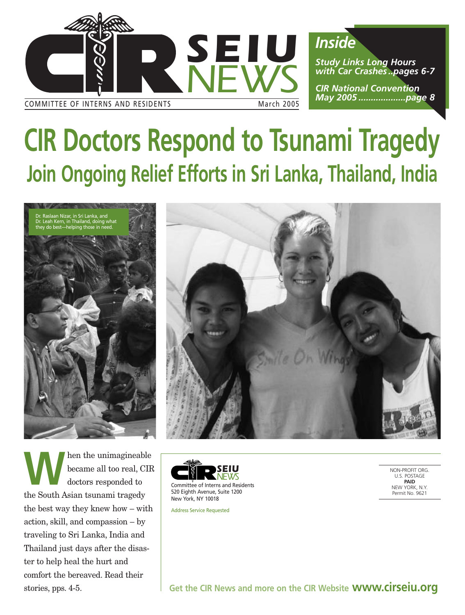

# **CIR Doctors Respond to Tsunami Tragedy Join Ongoing Relief Efforts in Sri Lanka, Thailand, India**





**MADE SERVIE EN EXERCISE ANN** ALL A LIMITED AND THE UP OF THE UP OF THE MADE OF THE MADE OF THE MADE OF THE MADE OF THE MADE OF THE MADE OF THE MADE OF THE MADE OF THE MADE OF THE MADE OF THE MAJA OF THE MAJA OF THE MAJA O became all too real, CIR doctors responded to the South Asian tsunami tragedy the best way they knew how – with action, skill, and compassion – by traveling to Sri Lanka, India and Thailand just days after the disaster to help heal the hurt and comfort the bereaved. Read their stories, pps. 4-5.



Address Service Requested

NON-PROFIT ORG. U.S. POSTAGE **PAID** NEW YORK, N.Y. Permit No. 9621

**Get the CIR News and more on the CIR Website www.cirseiu.org**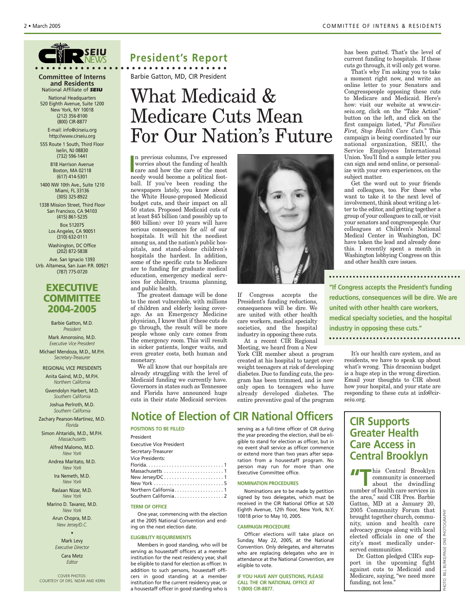

*SEIU NEWS*

**Committee of Interns and Residents** National Affiliate of *SEIU*

National Headquarters 520 Eighth Avenue, Suite 1200 New York, NY 10018 (212) 356-8100 (800) CIR-8877

E-mail: info@cirseiu.org http://www.cirseiu.org

555 Route 1 South, Third Floor Iselin, NJ 08830 (732) 596-1441

818 Harrison Avenue Boston, MA 02118 (617) 414-5301

1400 NW 10th Ave., Suite 1210 Miami, FL 33136 (305) 325-8922

1338 Mission Street, Third Floor San Francisco, CA 94103 (415) 861-5235

> Box 512075 Los Angeles, CA 90051 (310) 632-0111

Washington, DC Office (202) 872-5838 Ave. San Ignacio 1393 Urb. Altamesa, San Juan P.R. 00921 (787) 775-0720

#### **EXECUTIVE COMMITTEE 2004-2005**

Barbie Gatton, M.D. *President*

Mark Amorosino, M.D. *Executive Vice President*

Michael Mendoza, M.D., M.P.H. *Secretary-Treasurer*

REGIONAL VICE PRESIDENTS Anita Gaind, M.D., M.P.H. *Northern California*

Gwendolyn Harbert, M.D. *Southern California*

Joshua Perlroth, M.D. *Southern California*

Zachary Pearson-Martinez, M.D. *Florida*

Simon Ahtaridis, M.D., M.P.H. *Massachusetts*

Alfred Malomo, M.D. *New York*

Andrea Maritato, M.D. *New York*

Ira Nemeth, M.D. *New York*

Raslaan Nizar, M.D. *New York*

Marino D. Tavarez, M.D. *New York*

> Arun Chopra, M.D. *New Jersey/D.C.*

> > •

Mark Levy *Executive Director* Cara Metz

*Editor*

COVER PHOTOS: COURTESY OF DRS. NIZAR AND KERN

## **President's Report**

**• • • • • • • • • • • • • • • • • • • • • • • • • • • • • • • • • •** Barbie Gatton, MD, CIR President

# What Medicaid & Medicare Cuts Mean For Our Nation's Future

In previous columns, I've expressed<br>
worries about the funding of health<br>
care and how the care of the most<br>
poody would become a political foot n previous columns, I've expressed worries about the funding of health needy would become a political football. If you've been reading the newspapers lately, you know about the White House-proposed Medicaid budget cuts, and their impact on all 50 states. Proposed Medicaid cuts of at least \$45 billion (and possibly up to \$60 billion) over 10 years will have serious consequences for *all* of our hospitals. It will hit the neediest among us, and the nation's public hospitals, and stand-alone children's hospitals the hardest. In addition, some of the specific cuts to Medicare are to funding for graduate medical education, emergency medical services for children, trauma planning, and public health.

The greatest damage will be done to the most vulnerable, with millions of children and elderly losing coverage. As an Emergency Medicine physician, I know that if these cuts do go through, the result will be more people whose only care comes from the emergency room. This will result in sicker patients, longer waits, and even greater costs, both human and monetary.

We all know that our hospitals are already struggling with the level of Medicaid funding we currently have. Governors in states such as Tennessee and Florida have announced huge cuts in their state Medicaid services.

### **Notice of Election of CIR National Officers**

**POSITIONS TO BE FILLED**

| President                |
|--------------------------|
| Executive Vice President |
| Secretary-Treasurer      |
| Vice Presidents:         |
|                          |
|                          |
|                          |
|                          |
| Northern California 1    |
|                          |
|                          |

#### **TERM OF OFFICE**

One year, commencing with the election at the 2005 National Convention and ending on the next election date.

#### **ELIGIBILITY REQUIREMENTS**

Members in good standing, who will be serving as housestaff officers at a member institution for the next residency year, shall be eligible to stand for election as officer. In addition to such persons, housestaff officers in good standing at a member institution for the current residency year, or a housestaff officer in good standing who is

serving as a full-time officer of CIR during the year preceding the election, shall be eligible to stand for election as officer, but in no event shall service as officer commence or extend more than two years after separation from a housestaff program. No person may run for more than one Executive Committee office.

If Congress accepts the President's funding reductions, consequences will be dire. We are united with other health care workers, medical specialty societies, and the hospital industry in opposing these cuts. At a recent CIR Regional Meeting, we heard from a New York CIR member about a program created at his hospital to target overweight teenagers at risk of developing diabetes. Due to funding cuts, the program has been trimmed, and is now only open to teenagers who have already developed diabetes. The entire preventive goal of the program

#### **NOMINATION PROCEDURES**

Nominations are to be made by petition signed by two delegates, which must be received in the CIR National Office at 520 Eighth Avenue, 12th floor, New York, N.Y. 10018 prior to May 10, 2005.

#### **CAMPAIGN PROCEDURE**

Officer elections will take place on Sunday, May 22, 2005, at the National Convention. Only delegates, and alternates who are replacing delegates who are in attendance at the National Convention, are eligible to vote.

**IF YOU HAVE ANY QUESTIONS, PLEASE CALL THE CIR NATIONAL OFFICE AT 1 (800) CIR-8877.**

has been gutted. That's the level of current funding to hospitals. If these cuts go through, it will only get worse.

That's why I'm asking you to take a moment right now, and write an online letter to your Senators and Congresspeople opposing these cuts to Medicare and Medicaid. Here's how: visit our website at www.cirseiu.org, click on the "Take Action" button on the left, and click on the first campaign listed, "*Put Families First, Stop Health Care Cuts.*" This campaign is being coordinated by our national organization, SEIU, the Service Employees International Union. You'll find a sample letter you can sign and send online, or personalize with your own experiences, on the subject matter.

Get the word out to your friends and colleagues, too. For those who want to take it to the next level of involvement, think about writing a letter to the editor, and getting together a group of your colleagues to call, or visit your senators and congresspeople. Our colleagues at Children's National Medical Center in Washington, DC have taken the lead and already done this. I recently spent a month in Washington lobbying Congress on this and other health care issues.

**"If Congress accepts the President's funding reductions, consequences will be dire. We are united with other health care workers, medical specialty societies, and the hospital industry in opposing these cuts."** 

It's our health care system, and as residents, we have to speak up about what's wrong. This draconian budget is a huge step in the wrong direction. Email your thoughts to CIR about how your hospital, and your state are responding to these cuts at info@cirseiu.org.

#### **CIR Supports Greater Health Care Access in Central Brooklyn**

**THE SECRET READ SPOOKLY COMMUNIST CONTROLLER**<br>
about the dwindling<br>
number of boalth are services in community is concerned number of health care services in the area," said CIR Pres. Barbie Gatton, MD at a January 20, 2005 Community Forum that brought together church, community, union and health care advocacy groups along with local elected officials in one of the city's most medically underserved communities.

Dr. Gatton pledged CIR's support in the upcoming fight against cuts to Medicaid and Medicare, saying, "we need more funding, not less."

PHOTO: BILL BURKE/PAGE ONE PHOTOGRAPHY

PHOTO: BILL BURKE/PAGE

ONE

PHOTOGRA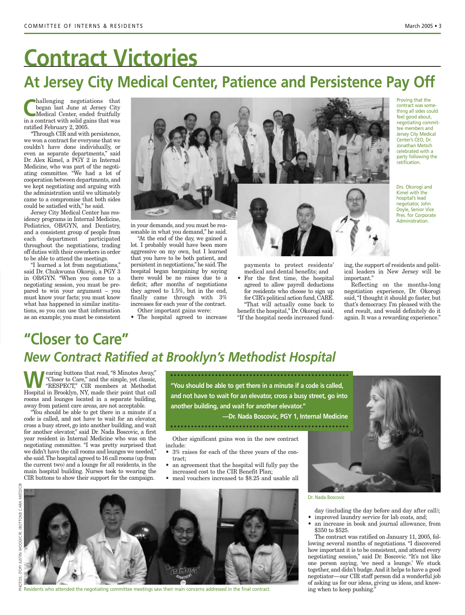# **At Jersey City Medical Center, Patience and Persistence Pay Off Contract Victories**

began last June at Jersey City Medical Center, ended fruitfully in a contract with solid gains that was ratified February 2, 2005.

"Through CIR and with persistence, we won a contract for everyone that we couldn't have done individually, or even as separate departments," said Dr. Alex Kimel, a PGY 2 in Internal Medicine, who was part of the negotiating committee. "We had a lot of cooperation between departments, and we kept negotiating and arguing with the administration until we ultimately came to a compromise that both sides could be satisfied with," he said.

Jersey City Medical Center has residency programs in Internal Medicine, Pediatrics, OB/GYN, and Dentistry, and a consistent group of people from each department participated throughout the negotiations, trading off duties with their coworkers in order to be able to attend the meetings.

"I learned a lot from negotiations," said Dr. Chukwuma Okoroji, a PGY 3 in OB/GYN. "When you come to a negotiating session, you must be prepared to win your argument – you must know your facts; you must know what has happened in similar institutions, so you can use that information as an example; you must be consistent



in your demands, and you must be reasonable in what you demand," he said.

"At the end of the day, we gained a lot. I probably would have been more aggressive on my own, but I learned that you have to be both patient, and persistent in negotiations," he said.The hospital began bargaining by saying there would be no raises due to a deficit; after months of negotiations they agreed to 1.5%, but in the end, finally came through with 3% increases for each year of the contract. Other important gains were:

• The hospital agreed to increase



payments to protect residents' medical and dental benefits; and

• For the first time, the hospital agreed to allow payroll deductions for residents who choose to sign up for CIR's political action fund,CARE. "That will actually come back to benefit the hospital," Dr. Okorogi said, "If the hospital needs increased fundProving that the contract was something all sides could feel good about, negotiating committee members and Jersey City Medical Center's CEO, Dr. Jonathan Metsch celebrated with a party following the ratification.

Drs. Okorogi and Kimel with the hospital's lead negotiator, John Doyle, Senior Vice Pres. for Corporate Administration.

ing, the support of residents and political leaders in New Jersey will be important."

Reflecting on the months-long negotiation experience, Dr. Okorogi said,"I thought it should go faster, but that's democracy. I'm pleased with the end result, and would definitely do it again. It was a rewarding experience."

## **"Closer to Care"** *New Contract Ratified at Brooklyn's Methodist Hospital*

**WEARENT SERVICES AND SERVICES ARE SERVICES AND SERVICES AND SERVICES AND SERVICES AND SERVICES AND SERVICES AND SERVICES AND SERVICES AND SERVICES AND SERVICES AND SERVICES AND SERVICES AND SERVICES AND SERVICES AND SERVI** "Closer to Care," and the simple, yet classic, Hospital in Brooklyn, NY, made their point that call rooms and lounges located in a separate building, away from patient care areas, are not acceptable.

"You should be able to get there in a minute if a code is called, and not have to wait for an elevator, cross a busy street, go into another building, and wait for another elevator," said Dr. Nada Boscovic, a first year resident in Internal Medicine who was on the negotiating committee. "I was pretty surprised that we didn't have the call rooms and lounges we needed," she said.The hospital agreed to 16 call rooms (up from the current two) and a lounge for all residents, in the main hospital building. Nurses took to wearing the CIR buttons to show their support for the campaign.

**"You should be able to get there in a minute if a code is called, and not have to wait for an elevator, cross a busy street, go into another building, and wait for another elevator."** 

**—Dr. Nada Boscovic, PGY 1, Internal Medicine**

Other significant gains won in the new contract include:

- 3% raises for each of the three years of the contract;
- an agreement that the hospital will fully pay the increased cost to the CIR Benefit Plan;
- meal vouchers increased to \$8.25 and usable all





Residents who attended the negotiating committee meetings saw their main concerns addressed in the final contract.

Dr. Nada Boscovic

- day (including the day before and day after call);
- improved laundry service for lab coats, and;
- an increase in book and journal allowance, from \$350 to \$525.

The contract was ratified on January 11, 2005, following several months of negotiations. "I discovered how important it is to be consistent, and attend every negotiating session," said Dr. Boscovic. "It's not like one person saying, 'we need a lounge.' We stuck together, and didn't budge.And it helps to have a good negotiator—our CIR staff person did a wonderful job of asking us for our ideas, giving us ideas, and know-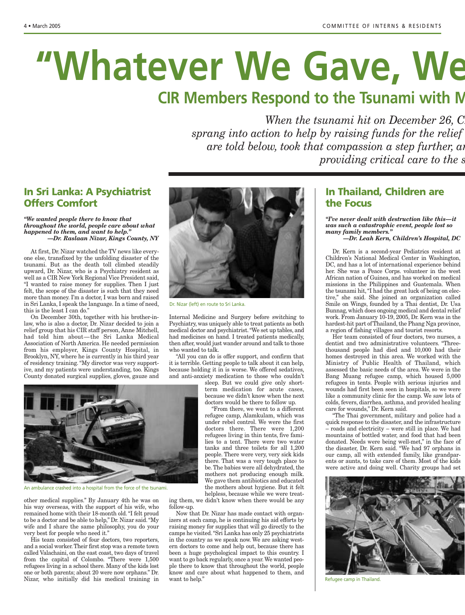# "Whatever We Gave, We

# **CIR Members Respond to the Tsunami with M**

*When the tsunami hit on December 26, C* sprang into action to help by raising funds for the relief *are told below, took that compassion a step further, and metal teams to interminate teams to join metal teams to join metal teams are to join metal teams are to join metal teams are to join metal teams are to join metal t providing critical care to the s* 

#### **In Sri Lanka: A Psychiatrist Offers Comfort**

#### *"We wanted people there to know that throughout the world, people care about what happened to them, and want to help." —Dr. Raslaan Nizar, Kings County, NY*

At first, Dr. Nizar watched the TV news like everyone else, transfixed by the unfolding disaster of the tsunami. But as the death toll climbed steadily upward, Dr. Nizar, who is a Psychiatry resident as well as a CIR New York Regional Vice President said, "I wanted to raise money for supplies. Then I just felt, the scope of the disaster is such that they need more than money. I'm a doctor, I was born and raised in Sri Lanka, I speak the language. In a time of need, this is the least I can do."

On December 30th, together with his brother-inlaw, who is also a doctor, Dr. Nizar decided to join a relief group that his CIR staff person, Anne Mitchell, had told him about—the Sri Lanka Medical Association of North America. He needed permission from his employer, Kings County Hospital, in Brooklyn, NY, where he is currently in his third year of residency training. "My director was very supportive, and my patients were understanding, too. Kings County donated surgical supplies, gloves, gauze and



An ambulance crashed into a hospital from the force of the tsunami.

other medical supplies." By January 4th he was on his way overseas, with the support of his wife, who remained home with their 18-month old. "I felt proud to be a doctor and be able to help," Dr. Nizar said. "My wife and I share the same philosophy, you do your very best for people who need it."

His team consisted of four doctors, two reporters, and a social worker.Their first stop was a remote town called Valachaini, on the east coast, two days of travel from the capital of Colombo. "There were 1,500 refugees living in a school there. Many of the kids lost one or both parents; about 20 were now orphans." Dr. Nizar, who initially did his medical training in



Dr. Nizar (left) en route to Sri Lanka.

Internal Medicine and Surgery before switching to Psychiatry, was uniquely able to treat patients as both medical doctor and psychiatrist."We set up tables, and had medicines on hand. I treated patients medically, then after, would just wander around and talk to those who wanted to talk.

"All you can do is offer support, and confirm that it is terrible. Getting people to talk about it can help, because holding it in is worse. We offered sedatives, and anti-anxiety medication to those who couldn't

sleep. But we could give only shortterm medication for acute cases, because we didn't know when the next doctors would be there to follow up.

"From there, we went to a different refugee camp, Alamkulam, which was under rebel control. We were the first doctors there. There were 1,200 refugees living in thin tents, five families to a tent. There were two water tanks and three toilets for all 1,200 people. There were very, very sick kids there. That was a very tough place to be. The babies were all dehydrated, the mothers not producing enough milk. We gave them antibiotics and educated the mothers about hygiene. But it felt helpless, because while we were treat-

ing them, we didn't know when there would be any follow-up.

Now that Dr. Nizar has made contact with organizers at each camp, he is continuing his aid efforts by raising money for supplies that will go directly to the camps he visited."Sri Lanka has only 25 psychiatrists in the country as we speak now. We are asking western doctors to come and help out, because there has been a huge psychological impact to this country. I want to go back regularly, once a year.We wanted people there to know that throughout the world, people know and care about what happened to them, and want to help."

#### **In Thailand, Children are the Focus**

*"I've never dealt with destruction like this—it was such a catastrophic event, people lost so many family members."*

*—Dr. Leah Kern, Children's Hospital, DC*

Dr. Kern is a second-year Pediatrics resident at Children's National Medical Center in Washington, DC, and has a lot of international experience behind her. She was a Peace Corps. volunteer in the west African nation of Guinea, and has worked on medical missions in the Philippines and Guatemala. When the tsunami hit, "I had the great luck of being on elective," she said. She joined an organization called Smile on Wings, founded by a Thai dentist, Dr. Usa Bunnag, which does ongoing medical and dental relief work. From January 10-19, 2005, Dr. Kern was in the hardest-hit part of Thailand, the Phang Nga province, a region of fishing villages and tourist resorts.

Her team consisted of four doctors, two nurses, a dentist and two administrative volunteers. "Threethousand people had died and 10,000 had their homes destroyed in this area. We worked with the Ministry of Public Health of Thailand, which assessed the basic needs of the area. We were in the Bang Muang refugee camp, which housed 5,000 refugees in tents. People with serious injuries and wounds had first been seen in hospitals, so we were like a community clinic for the camp. We saw lots of colds, fevers, diarrhea, asthma, and provided healing care for wounds," Dr. Kern said.

"The Thai government, military and police had a quick response to the disaster, and the infrastructure – roads and electricity – were still in place. We had mountains of bottled water, and food that had been donated. Needs were being well-met," in the face of the disaster, Dr. Kern said. "We had 97 orphans in our camp, all with extended family, like grandparents or aunts, to take care of them. Most of the kids were active and doing well. Charity groups had set



Refugee camp in Thailand.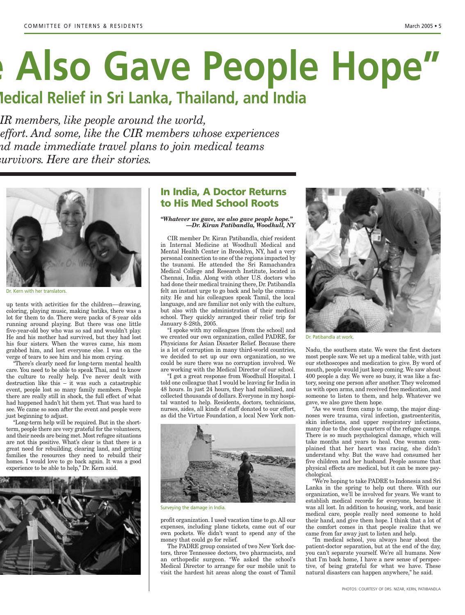# **e Also Gave People Hope"**

# **Medical Relief in Sri Lanka, Thailand, and India**

*IR members, like people around the world, f effort. And some, like the CIR members whose experiences and made immediate travel plans to join medical teams survivors. Here are their stories.*



Dr. Kern with her translators.

up tents with activities for the children—drawing, coloring, playing music, making batiks, there was a lot for them to do. There were packs of 8-year olds running around playing. But there was one little five-year-old boy who was so sad and wouldn't play. He and his mother had survived, but they had lost his four sisters. When the waves came, his mom grabbed him, and lost everyone else. I was on the verge of tears to see him and his mom crying.

"There's clearly need for long-term mental health care. You need to be able to speak Thai, and to know the culture to really help. I've never dealt with destruction like this – it was such a catastrophic event, people lost so many family members. People there are really still in shock, the full effect of what had happened hadn't hit them yet. That was hard to see. We came so soon after the event and people were just beginning to adjust.

"Long-term help will be required. But in the shortterm, people there are very grateful for the volunteers, and their needs are being met.Most refugee situations are not this positive. What's clear is that there is a great need for rebuilding, clearing land, and getting families the resources they need to rebuild their homes. I would love to go back again. It was a good experience to be able to help," Dr. Kern said.



#### **In India, A Doctor Returns to His Med School Roots**

#### *"Whatever we gave, we also gave people hope." —Dr. Kiran Patibandla, Woodhull, NY*

CIR member Dr. Kiran Patibandla, chief resident in Internal Medicine at Woodhull Medical and Mental Health Center in Brooklyn, NY, had a very personal connection to one of the regions impacted by the tsunami. He attended the Sri Ramachandra Medical College and Research Institute, located in Chennai, India. Along with other U.S. doctors who had done their medical training there, Dr. Patibandla felt an instant urge to go back and help the community. He and his colleagues speak Tamil, the local language, and are familiar not only with the culture, but also with the administration of their medical school. They quickly arranged their relief trip for January 8-28th, 2005.

"I spoke with my colleagues [from the school] and we created our own organization, called PADRE, for Physicians for Asian Disaster Relief. Because there is a lot of corruption in many third-world countries, we decided to set up our own organization, so we could be sure there was no corruption involved. We are working with the Medical Director of our school.

"I got a great response from Woodhull Hospital. I told one colleague that I would be leaving for India in 48 hours. In just 24 hours, they had mobilized, and collected thousands of dollars. Everyone in my hospital wanted to help. Residents, doctors, technicians, nurses, aides, all kinds of staff donated to our effort, as did the Virtue Foundation, a local New York non-



Surveying the damage in India.

profit organization. I used vacation time to go. All our expenses, including plane tickets, came out of our own pockets. We didn't want to spend any of the money that could go for relief.

The PADRE group consisted of two New York doctors, three Tennessee doctors, two pharmacists, and an orthopedic surgeon. "We asked the school's Medical Director to arrange for our mobile unit to visit the hardest hit areas along the coast of Tamil



Dr. Patibandla at work.

Nadu, the southern state. We were the first doctors most people saw. We set up a medical table, with just our stethoscopes and medication to give. By word of mouth, people would just keep coming. We saw about 400 people a day. We were so busy, it was like a factory, seeing one person after another. They welcomed us with open arms, and received free medication, and someone to listen to them, and help. Whatever we gave, we also gave them hope.

"As we went from camp to camp, the major diagnoses were trauma, viral infection, gastroenteritis, skin infections, and upper respiratory infections, many due to the close quarters of the refugee camps. There is so much psychological damage, which will take months and years to heal. One woman complained that her heart was racing, she didn't understand why. But the wave had consumed her five children and her husband. People assume that physical effects are medical, but it can be more psychological.

"We're hoping to take PADRE to Indonesia and Sri Lanka in the spring to help out there. With our organization, we'll be involved for years. We want to establish medical records for everyone, because it was all lost. In addition to housing, work, and basic medical care, people really need someone to hold their hand, and give them hope. I think that a lot of the comfort comes in that people realize that we came from far away just to listen and help.

"In medical school, you always hear about the patient-doctor separation, but at the end of the day, you can't separate yourself. We're all humans. Now that I'm back home, I have a new sense of perspective, of being grateful for what we have. These natural disasters can happen anywhere," he said.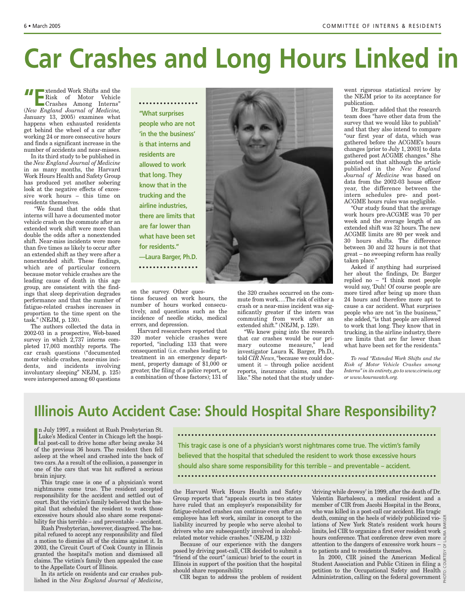# **Car Crashes and Long Hours Linked in**

**THE EXTENDED WORK** Shifts and the Risk of Motor Vehicle Crashes Among Interns"

(*New England Journal of Medicine,* January 13, 2005) examines what happens when exhausted residents get behind the wheel of a car after working 24 or more consecutive hours and finds a significant increase in the number of accidents and near-misses.

In its third study to be published in the *New England Journal of Medicine* in as many months, the Harvard Work Hours Health and Safety Group has produced yet another sobering look at the negative effects of excessive work hours – this time on residents themselves.

"We found that the odds that interns will have a documented motor vehicle crash on the commute after an extended work shift were more than double the odds after a nonextended shift. Near-miss incidents were more than five times as likely to occur after an extended shift as they were after a nonextended shift. These findings, which are of particular concern because motor vehicle crashes are the leading cause of death in this age group, are consistent with the findings that sleep deprivation degrades performance and that the number of fatigue-related crashes increases in proportion to the time spent on the task." (NEJM, p. 130).

The authors collected the data in 2002-03 in a prospective, Web-based survey in which 2,737 interns completed 17,003 monthly reports. The car crash questions ("documented motor vehicle crashes, near-miss incidents, and incidents involving involuntary sleeping" NEJM, p. 125) were interspersed among 60 questions

**"What surprises people who are not 'in the the business' is that interns and residents are allowed to work that long. They know that in the trucking and the airline industries, there are limits that are far lower than what have been set for residents." —Laura Barger, Ph.D.** . . . . . . . . . . . . . . . . .

on the survey. Other ques-

tions focused on work hours, the number of hours worked consecutively, and questions such as the incidence of needle sticks, medical errors, and depression.

Harvard researchers reported that 320 moter vehicle crashes were reported, "including 133 that were consequential (i.e. crashes leading to treatment in an emergency department, property damage of \$1,000 or greater, the filing of a police report, or a combination of those factors); 131 of



the 320 crashes occurred on the commute from work….The risk of either a crash or a near-miss incident was significantly greater if the intern was commuting from work after an extended shift." (NEJM, p. 129).

"We knew going into the research that car crashes would be our primary outcome measure," lead investigator Laura K. Barger, Ph.D., told *CIR News*, "because we could document it – through police accident reports, insurance claims, and the like." She noted that the study underwent rigorous statistical review by the NEJM prior to its acceptance for publication.

Dr. Barger added that the research team does "have other data from the survey that we would like to publish" and that they also intend to compare "our first year of data, which was gathered before the ACGME's hours changes [prior to July 1, 2003] to data gathered post ACGME changes." She pointed out that although the article published in the *New England Journal of Medicine* was based on data from the 2002-03 house officer year, the difference between the intern schedules pre- and post-ACGME hours rules was negligible.

"Our study found that the average work hours pre-ACGME was 70 per week and the average length of an extended shift was 32 hours. The new ACGME limits are 80 per week and 30 hours shifts. The difference between 30 and 32 hours is not that great – no sweeping reform has really taken place."

Asked if anything had surprised her about the findings, Dr. Barger replied no – "I think most people would say, 'Duh! Of course people are more tired after being up more than 24 hours and therefore more apt to cause a car accident. What surprises people who are not 'in the business,'" she added, "is that people are allowed to work that long. They know that in trucking, in the airline industry, there are limits that are far lower than what have been set for the residents."

*To read "Extended Work Shifts and the Risk of Motor Vehicle Crashes among Interns" in its entirety, go to www.cirseiu.org or www.hourswatch.org.*

# **Illinois Auto Accident Case: Should Hospital Share Responsibility?**

In July 1997, a resident at Rush Presbyterian St.<br>
Luke's Medical Center in Chicago left the hospital post-call to drive home after being awake 34<br>
of the provising 26 hours. The position than fall n July 1997, a resident at Rush Presbyterian St. Luke's Medical Center in Chicago left the hospiof the previous 36 hours. The resident then fell asleep at the wheel and crashed into the back of two cars. As a result of the collision, a passenger in one of the cars that was hit suffered a serious brain injury.

This tragic case is one of a physician's worst nightmares come true. The resident accepted responsibility for the accident and settled out of court. But the victim's family believed that the hospital that scheduled the resident to work those excessive hours should also share some responsibility for this terrible – and preventable – accident.

Rush Presbyterian, however, disagreed.The hospital refused to accept any responsibility and filed a motion to dismiss all of the claims against it. In 2003, the Circuit Court of Cook County in Illinois granted the hospital's motion and dismissed all claims. The victim's family then appealed the case to the Appellate Court of Illinois.

In its article on residents and car crashes published in the *New England Journal of Medicine*, **This tragic case is one of a physician's worst nightmares come true. The victim's family believed that the hospital that scheduled the resident to work those excessive hours should also share some responsibility for this terrible – and preventable – accident.**

the Harvard Work Hours Health and Safety Group reports that "appeals courts in two states have ruled that an employer's responsibility for fatigue-related crashes can continue even after an employee has left work, similar in concept to the liability incurred by people who serve alcohol to drivers who are subsequently involved in alcoholrelated motor vehicle crashes." (NEJM, p 132)

Because of our experience with the dangers posed by driving post-call, CIR decided to submit a "friend of the court" (amicus) brief to the court in Illinois in support of the position that the hospital should share responsibility.

CIR began to address the problem of resident

'driving while drowsy' in 1999, after the death of Dr. Valentin Barbalescu, a medical resident and a member of CIR from Jacobi Hospital in the Bronx, who was killed in a post-call car accident. His tragic death, coming on the heels of widely publicized violations of New York State's resident work hours limits, led CIR to organize a first ever resident work  $\frac{3}{5}$ hours conference. That conference drew even more  $\geq$ attention to the dangers of excessive work hours –  $\frac{a}{\alpha}$ to patients and to residents themselves. death, coming on the heels of widely publicized vio-<br>lations of New York State's resident work hours  $\frac{8}{3}$ <br>limits, led CIR to organize a first ever resident work<br>hours conference. That conference drew even more  $\frac{3}{$ 

In 2000, CIR joined the American Medical Student Association and Public Citizen in filing a petition to the Occupational Safety and Health  $\frac{8}{5}$ <br>Administration, calling on the federal government  $\frac{6}{5}$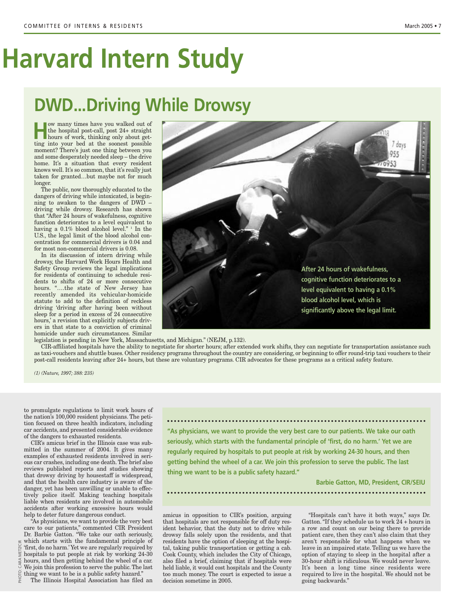# **Harvard Intern Study**

# **DWD...Driving While Drowsy**

w many times have you walked out of<br>the hospital post-call, post 24+ straight<br>hours of work, thinking only about get-<br>ting into your hod at the second possible the hospital post-call, post 24+ straight ting into your bed at the soonest possible moment? There's just one thing between you and some desperately needed sleep – the drive home. It's a situation that every resident knows well. It's so common, that it's really just taken for granted…but maybe not for much longer.

The public, now thoroughly educated to the dangers of driving while intoxicated, is beginning to awaken to the dangers of DWD – driving while drowsy. Research has shown that "After 24 hours of wakefulness, cognitive function deteriorates to a level equivalent to having a  $0.1\%$  blood alcohol level." In the U.S., the legal limit of the blood alcohol concentration for commercial drivers is 0.04 and for most non-commercial drivers is 0.08.

In its discussion of intern driving while drowsy, the Harvard Work Hours Health and Safety Group reviews the legal implications for residents of continuing to schedule residents to shifts of 24 or more consecutive hours. "….the state of New Jersey has recently amended its vehicular-homicide statute to add to the definition of reckless driving 'driving after having been without sleep for a period in excess of 24 consecutive hours, a revision that explicitly subjects drivers in that state to a conviction of criminal homicide under such circumstances. Similar

legislation is pending in New York, Massachusetts, and Michigan." (NEJM, p.132).

CIR-affiliated hospitals have the ability to negotiate for shorter hours; after extended work shifts, they can negotiate for transportation assistance such as taxi-vouchers and shuttle buses. Other residency programs throughout the country are considering, or beginning to offer round-trip taxi vouchers to their post-call residents leaving after 24+ hours, but these are voluntary programs. CIR advocates for these programs as a critical safety feature.

> held liable, it would cost hospitals and the County too much money. The court is expected to issue a

decision sometime in 2005.

*(1) (Nature, 1997; 388: 235)*

the nation's 100,000 resident physicians. The petition focused on three health indicators, including car accidents, and presented considerable evidence of the dangers to exhausted residents.

to promulgate regulations to limit work hours of<br>the nation's 100,000 resident physicians. The peti-<br>tion focused on three health indicators, including<br>car accidents, and presented considerable evidence<br>of the dangers to CIR's amicus brief in the Illinois case was submitted in the summer of 2004. It gives many examples of exhausted residents involved in serious car crashes, including one death. The brief also reviews published reports and studies showing that drowsy driving by housestaff is widespread, and that the health care industry is aware of the danger, yet has been unwilling or unable to effectively police itself. Making teaching hospitals liable when residents are involved in automobile accidents after working excessive hours would help to deter future dangerous conduct.

"As physicians, we want to provide the very best care to our patients," commented CIR President Dr. Barbie Gatton. "We take our oath seriously, which starts with the fundamental principle of 'first, do no harm.' Yet we are regularly required by hospitals to put people at risk by working 24-30 hours, and then getting behind the wheel of a car. We join this profession to serve the public. The last thing we want to be is a public safety hazard."

The Illinois Hospital Association has filed an

**"As physicians, we want to provide the very best care to our patients. We take our oath seriously, which starts with the fundamental principle of 'first, do no harm.' Yet we are regularly required by hospitals to put people at risk by working 24-30 hours, and then getting behind the wheel of a car. We join this profession to serve the public. The last thing we want to be is a public safety hazard."**

**Barbie Gatton, MD, President, CIR/SEIU**

amicus in opposition to CIR's position, arguing that hospitals are not responsible for off duty resident behavior, that the duty not to drive while drowsy falls solely upon the residents, and that residents have the option of sleeping at the hospital, taking public transportation or getting a cab. Cook County, which includes the City of Chicago, also filed a brief, claiming that if hospitals were "Hospitals can't have it both ways," says Dr. Gatton."If they schedule us to work 24 + hours in a row and count on our being there to provide patient care, then they can't also claim that they aren't responsible for what happens when we leave in an impaired state. Telling us we have the

option of staying to sleep in the hospital after a 30-hour shift is ridiculous. We would never leave. It's been a long time since residents were required to live in the hospital. We should not be going backwards."